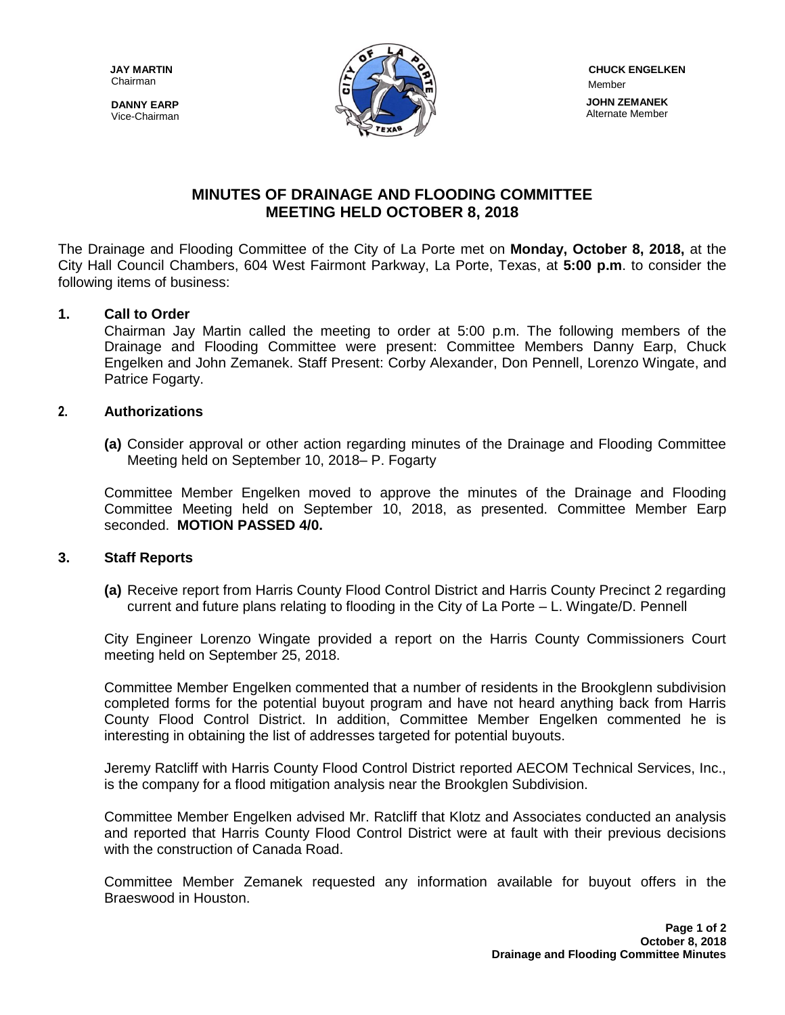Chairman

**DANNY EARP** Vice-Chairman



# **MINUTES OF DRAINAGE AND FLOODING COMMITTEE MEETING HELD OCTOBER 8, 2018**

The Drainage and Flooding Committee of the City of La Porte met on **Monday, October 8, 2018,** at the City Hall Council Chambers, 604 West Fairmont Parkway, La Porte, Texas, at **5:00 p.m**. to consider the following items of business:

## **1. Call to Order**

Chairman Jay Martin called the meeting to order at 5:00 p.m. The following members of the Drainage and Flooding Committee were present: Committee Members Danny Earp, Chuck Engelken and John Zemanek. Staff Present: Corby Alexander, Don Pennell, Lorenzo Wingate, and Patrice Fogarty.

#### **2. Authorizations**

**(a)** Consider approval or other action regarding minutes of the Drainage and Flooding Committee Meeting held on September 10, 2018– P. Fogarty

Committee Member Engelken moved to approve the minutes of the Drainage and Flooding Committee Meeting held on September 10, 2018, as presented. Committee Member Earp seconded. **MOTION PASSED 4/0.**

#### **3. Staff Reports**

**(a)** Receive report from Harris County Flood Control District and Harris County Precinct 2 regarding current and future plans relating to flooding in the City of La Porte – L. Wingate/D. Pennell

City Engineer Lorenzo Wingate provided a report on the Harris County Commissioners Court meeting held on September 25, 2018.

Committee Member Engelken commented that a number of residents in the Brookglenn subdivision completed forms for the potential buyout program and have not heard anything back from Harris County Flood Control District. In addition, Committee Member Engelken commented he is interesting in obtaining the list of addresses targeted for potential buyouts.

Jeremy Ratcliff with Harris County Flood Control District reported AECOM Technical Services, Inc., is the company for a flood mitigation analysis near the Brookglen Subdivision.

Committee Member Engelken advised Mr. Ratcliff that Klotz and Associates conducted an analysis and reported that Harris County Flood Control District were at fault with their previous decisions with the construction of Canada Road.

Committee Member Zemanek requested any information available for buyout offers in the Braeswood in Houston.